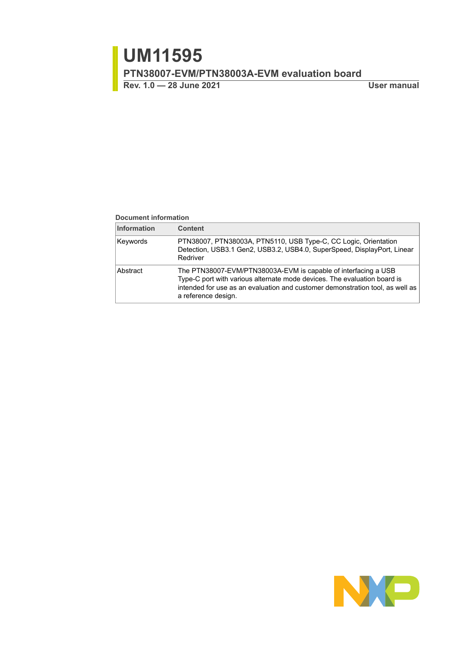#### **Document information**

| <b>Information</b> | <b>Content</b>                                                                                                                                                                                                                                     |
|--------------------|----------------------------------------------------------------------------------------------------------------------------------------------------------------------------------------------------------------------------------------------------|
| Keywords           | PTN38007, PTN38003A, PTN5110, USB Type-C, CC Logic, Orientation<br>Detection, USB3.1 Gen2, USB3.2, USB4.0, SuperSpeed, DisplayPort, Linear<br>Redriver                                                                                             |
| Abstract           | The PTN38007-EVM/PTN38003A-EVM is capable of interfacing a USB<br>Type-C port with various alternate mode devices. The evaluation board is<br>intended for use as an evaluation and customer demonstration tool, as well as<br>a reference design. |

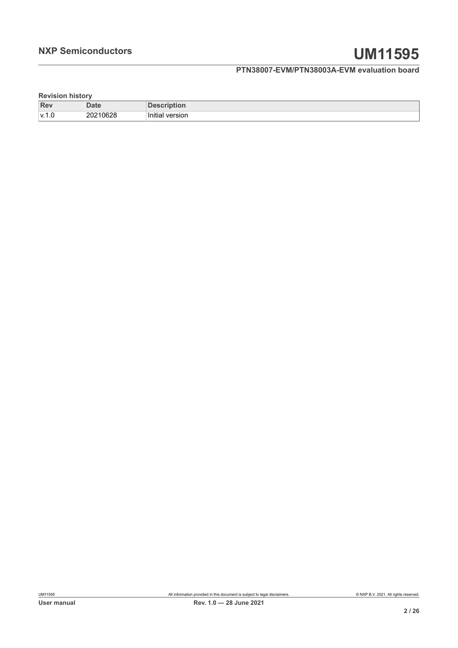**Revision history**

| Rev        | <b>Date</b>   | …ו∪ו…<br>- - - -        |
|------------|---------------|-------------------------|
| l v 1<br>. | 210628<br>202 | .<br>Initial<br>version |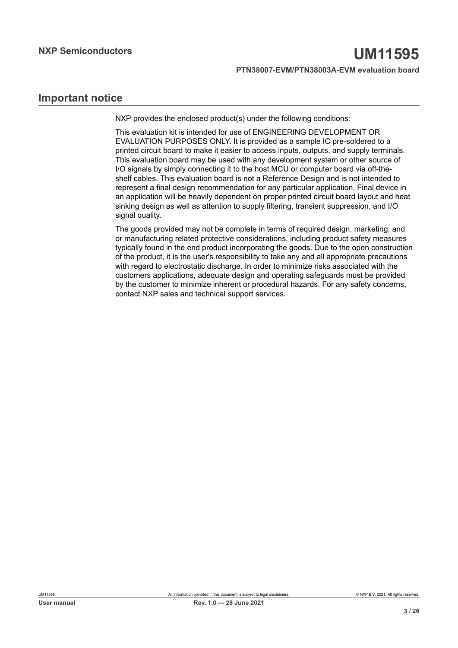# **Important notice**

NXP provides the enclosed product(s) under the following conditions:

This evaluation kit is intended for use of ENGINEERING DEVELOPMENT OR EVALUATION PURPOSES ONLY. It is provided as a sample IC pre-soldered to a printed circuit board to make it easier to access inputs, outputs, and supply terminals. This evaluation board may be used with any development system or other source of I/O signals by simply connecting it to the host MCU or computer board via off-theshelf cables. This evaluation board is not a Reference Design and is not intended to represent a final design recommendation for any particular application. Final device in an application will be heavily dependent on proper printed circuit board layout and heat sinking design as well as attention to supply filtering, transient suppression, and I/O signal quality.

The goods provided may not be complete in terms of required design, marketing, and or manufacturing related protective considerations, including product safety measures typically found in the end product incorporating the goods. Due to the open construction of the product, it is the user's responsibility to take any and all appropriate precautions with regard to electrostatic discharge. In order to minimize risks associated with the customers applications, adequate design and operating safeguards must be provided by the customer to minimize inherent or procedural hazards. For any safety concerns, contact NXP sales and technical support services.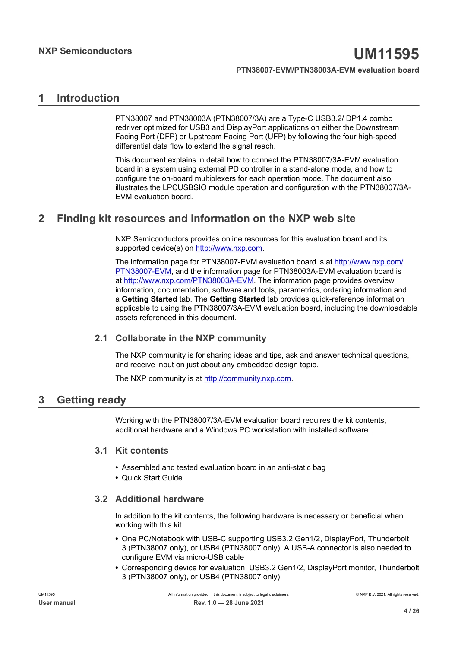# <span id="page-3-0"></span>**1 Introduction**

PTN38007 and PTN38003A (PTN38007/3A) are a Type-C USB3.2/ DP1.4 combo redriver optimized for USB3 and DisplayPort applications on either the Downstream Facing Port (DFP) or Upstream Facing Port (UFP) by following the four high-speed differential data flow to extend the signal reach.

This document explains in detail how to connect the PTN38007/3A-EVM evaluation board in a system using external PD controller in a stand-alone mode, and how to configure the on-board multiplexers for each operation mode. The document also illustrates the LPCUSBSIO module operation and configuration with the PTN38007/3A-EVM evaluation board.

# <span id="page-3-1"></span>**2 Finding kit resources and information on the NXP web site**

NXP Semiconductors provides online resources for this evaluation board and its supported device(s) on<http://www.nxp.com>.

The information page for PTN38007-EVM evaluation board is at [http://www.nxp.com/](http://www.nxp.com/PTN38007-EVM) [PTN38007-EVM,](http://www.nxp.com/PTN38007-EVM) and the information page for PTN38003A-EVM evaluation board is at [http://www.nxp.com/PTN38003A-EVM.](http://www.nxp.com/PTN38003A-EVM) The information page provides overview information, documentation, software and tools, parametrics, ordering information and a **Getting Started** tab. The **Getting Started** tab provides quick-reference information applicable to using the PTN38007/3A-EVM evaluation board, including the downloadable assets referenced in this document.

#### <span id="page-3-2"></span>**2.1 Collaborate in the NXP community**

The NXP community is for sharing ideas and tips, ask and answer technical questions, and receive input on just about any embedded design topic.

The NXP community is at [http://community.nxp.com.](http://community.nxp.com)

# <span id="page-3-3"></span>**3 Getting ready**

<span id="page-3-4"></span>Working with the PTN38007/3A-EVM evaluation board requires the kit contents, additional hardware and a Windows PC workstation with installed software.

#### **3.1 Kit contents**

- **•** Assembled and tested evaluation board in an anti-static bag
- <span id="page-3-5"></span>**•** Quick Start Guide

#### **3.2 Additional hardware**

In addition to the kit contents, the following hardware is necessary or beneficial when working with this kit.

- **•** One PC/Notebook with USB-C supporting USB3.2 Gen1/2, DisplayPort, Thunderbolt 3 (PTN38007 only), or USB4 (PTN38007 only). A USB-A connector is also needed to configure EVM via micro-USB cable
- **•** Corresponding device for evaluation: USB3.2 Gen1/2, DisplayPort monitor, Thunderbolt 3 (PTN38007 only), or USB4 (PTN38007 only)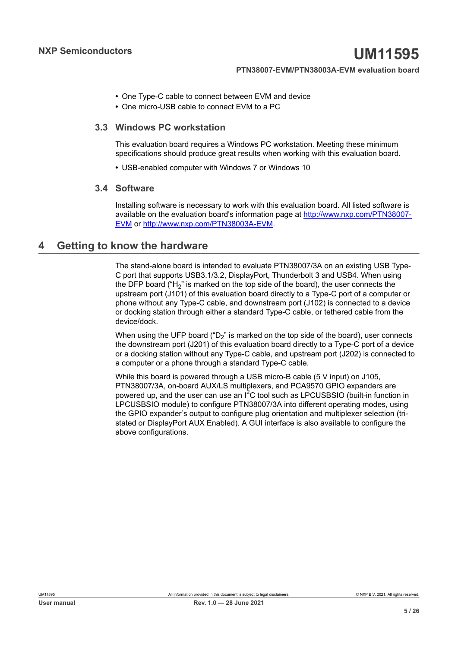- **•** One Type-C cable to connect between EVM and device
- <span id="page-4-0"></span>**•** One micro-USB cable to connect EVM to a PC

#### **3.3 Windows PC workstation**

This evaluation board requires a Windows PC workstation. Meeting these minimum specifications should produce great results when working with this evaluation board.

<span id="page-4-1"></span>**•** USB-enabled computer with Windows 7 or Windows 10

#### **3.4 Software**

Installing software is necessary to work with this evaluation board. All listed software is available on the evaluation board's information page at [http://www.nxp.com/PTN38007-](http://www.nxp.com/PTN38007-EVM) [EVM](http://www.nxp.com/PTN38007-EVM) or [http://www.nxp.com/PTN38003A-EVM.](http://www.nxp.com/PTN38003A-EVM)

### <span id="page-4-2"></span>**4 Getting to know the hardware**

The stand-alone board is intended to evaluate PTN38007/3A on an existing USB Type-C port that supports USB3.1/3.2, DisplayPort, Thunderbolt 3 and USB4. When using the DFP board ( $H_2$ " is marked on the top side of the board), the user connects the upstream port (J101) of this evaluation board directly to a Type-C port of a computer or phone without any Type-C cable, and downstream port (J102) is connected to a device or docking station through either a standard Type-C cable, or tethered cable from the device/dock.

When using the UFP board ( $D_2$ " is marked on the top side of the board), user connects the downstream port (J201) of this evaluation board directly to a Type-C port of a device or a docking station without any Type-C cable, and upstream port (J202) is connected to a computer or a phone through a standard Type-C cable.

While this board is powered through a USB micro-B cable (5 V input) on J105, PTN38007/3A, on-board AUX/LS multiplexers, and PCA9570 GPIO expanders are powered up, and the user can use an  $I^2C$  tool such as LPCUSBSIO (built-in function in LPCUSBSIO module) to configure PTN38007/3A into different operating modes, using the GPIO expander's output to configure plug orientation and multiplexer selection (tristated or DisplayPort AUX Enabled). A GUI interface is also available to configure the above configurations.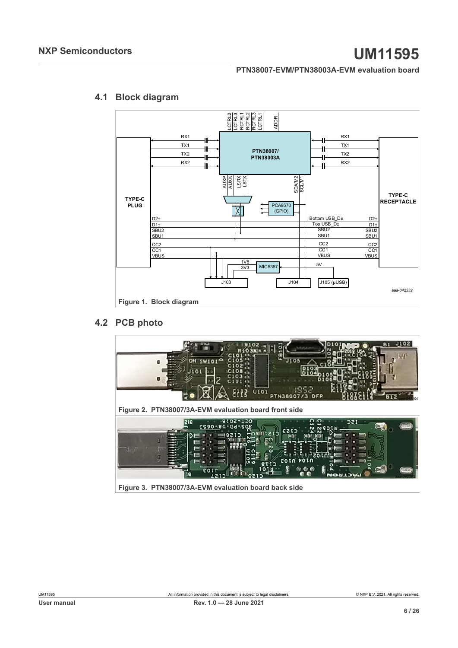<span id="page-5-3"></span><span id="page-5-0"></span>

# **4.1 Block diagram**

### **4.2 PCB photo**

<span id="page-5-4"></span><span id="page-5-2"></span><span id="page-5-1"></span>

**Figure 3. PTN38007/3A-EVM evaluation board back side**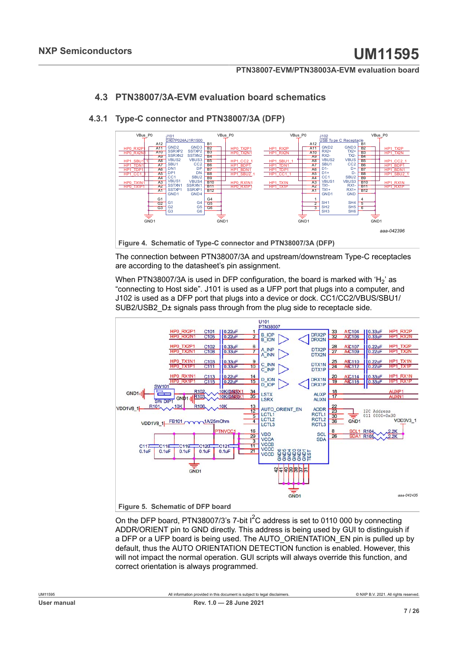### <span id="page-6-2"></span>**4.3 PTN38007/3A-EVM evaluation board schematics**

<span id="page-6-3"></span><span id="page-6-0"></span>

#### **4.3.1 Type-C connector and PTN38007/3A (DFP)**

The connection between PTN38007/3A and upstream/downstream Type-C receptacles are according to the datasheet's pin assignment.

When PTN38007/3A is used in DFP configuration, the board is marked with 'H<sub>2</sub>' as "connecting to Host side". J101 is used as a UFP port that plugs into a computer, and J102 is used as a DFP port that plugs into a device or dock. CC1/CC2/VBUS/SBU1/ SUB2/USB2 D± signals pass through from the plug side to receptacle side.

<span id="page-6-1"></span>

On the DFP board, PTN38007/3's 7-bit  $I^2C$  address is set to 0110 000 by connecting ADDR/ORIENT pin to GND directly. This address is being used by GUI to distinguish if a DFP or a UFP board is being used. The AUTO\_ORIENTATION\_EN pin is pulled up by default, thus the AUTO ORIENTATION DETECTION function is enabled. However, this will not impact the normal operation. GUI scripts will always override this function, and correct orientation is always programmed.

| User manual |
|-------------|
|             |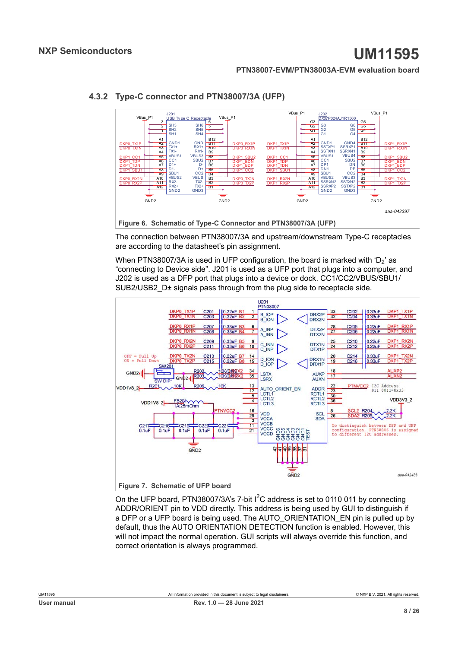<span id="page-7-2"></span><span id="page-7-0"></span>

#### **4.3.2 Type-C connector and PTN38007/3A (UFP)**

The connection between PTN38007/3A and upstream/downstream Type-C receptacles are according to the datasheet's pin assignment.

When PTN38007/3A is used in UFP configuration, the board is marked with ' $D_2$ ' as "connecting to Device side". J201 is used as a UFP port that plugs into a computer, and J202 is used as a DFP port that plugs into a device or dock. CC1/CC2/VBUS/SBU1/ SUB2/USB2 D± signals pass through from the plug side to receptacle side.

<span id="page-7-1"></span>

On the UFP board, PTN38007/3A's 7-bit  $1^2C$  address is set to 0110 011 by connecting ADDR/ORIENT pin to VDD directly. This address is being used by GUI to distinguish if a DFP or a UFP board is being used. The AUTO\_ORIENTATION\_EN pin is pulled up by default, thus the AUTO ORIENTATION DETECTION function is enabled. However, this will not impact the normal operation. GUI scripts will always override this function, and correct orientation is always programmed.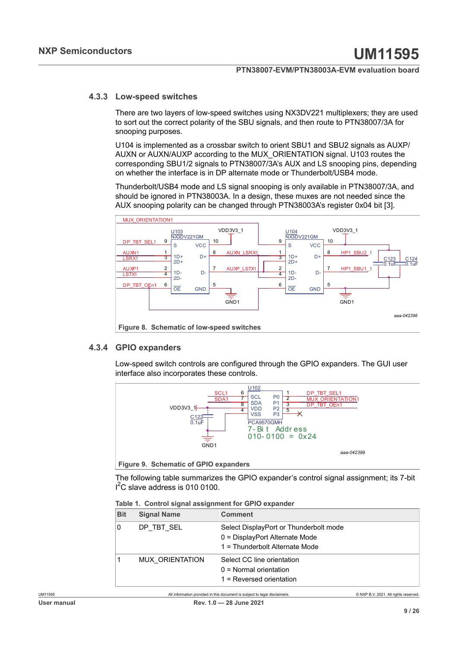#### **4.3.3 Low-speed switches**

<span id="page-8-3"></span>There are two layers of low-speed switches using NX3DV221 multiplexers; they are used to sort out the correct polarity of the SBU signals, and then route to PTN38007/3A for snooping purposes.

U104 is implemented as a crossbar switch to orient SBU1 and SBU2 signals as AUXP/ AUXN or AUXN/AUXP according to the MUX\_ORIENTATION signal. U103 routes the corresponding SBU1/2 signals to PTN38007/3A's AUX and LS snooping pins, depending on whether the interface is in DP alternate mode or Thunderbolt/USB4 mode.

Thunderbolt/USB4 mode and LS signal snooping is only available in PTN38007/3A, and should be ignored in PTN38003A. In a design, these muxes are not needed since the AUX snooping polarity can be changed through PTN38003A's register 0x04 bit [3].

<span id="page-8-1"></span>

#### **4.3.4 GPIO expanders**

<span id="page-8-4"></span>Low-speed switch controls are configured through the GPIO expanders. The GUI user interface also incorporates these controls.

<span id="page-8-2"></span>

**Figure 9. Schematic of GPIO expanders**

The following table summarizes the GPIO expander's control signal assignment; its 7-bit I<sup>2</sup>C slave address is 010 0100.

<span id="page-8-0"></span>

|  | Table 1. Control signal assignment for GPIO expander |  |
|--|------------------------------------------------------|--|
|  |                                                      |  |

| <b>Bit</b> | <b>Signal Name</b>     | <b>Comment</b>                                                                                             |
|------------|------------------------|------------------------------------------------------------------------------------------------------------|
| $\Omega$   | DP TBT SEL             | Select DisplayPort or Thunderbolt mode<br>0 = DisplayPort Alternate Mode<br>1 = Thunderbolt Alternate Mode |
|            | <b>MUX ORIENTATION</b> | Select CC line orientation<br>$0 =$ Normal orientation<br>$1$ = Reversed orientation                       |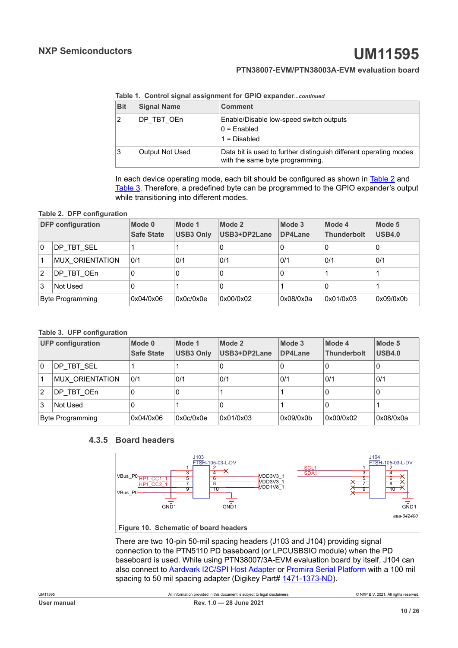**Table 1. Control signal assignment for GPIO expander***...continued*

| <b>Bit</b> | <b>Signal Name</b>     | <b>Comment</b>                                                                                       |
|------------|------------------------|------------------------------------------------------------------------------------------------------|
|            | DP TBT OEn             | Enable/Disable low-speed switch outputs<br>$0 =$ Enabled<br>$1 = Disabled$                           |
|            | <b>Output Not Used</b> | Data bit is used to further distinguish different operating modes<br>with the same byte programming. |

<span id="page-9-0"></span>In each device operating mode, each bit should be configured as shown in [Table 2](#page-9-0) and [Table 3](#page-9-1). Therefore, a predefined byte can be programmed to the GPIO expander's output while transitioning into different modes.

#### **Table 2. DFP configuration**

| <b>DFP</b> configuration |                        | Mode 0<br><b>Safe State</b> | Mode 1<br><b>USB3 Only</b> | Mode 2<br>USB3+DP2Lane | Mode 3<br>DP4Lane | Mode 4<br><b>Thunderbolt</b> | Mode 5<br><b>USB4.0</b> |
|--------------------------|------------------------|-----------------------------|----------------------------|------------------------|-------------------|------------------------------|-------------------------|
| 0                        | DP TBT SEL             |                             |                            | 0                      | 0                 | 0                            | 0                       |
|                          | <b>MUX ORIENTATION</b> | 0/1                         | 0/1                        | 0/1                    | 0/1               | 0/1                          | 0/1                     |
| $\overline{2}$           | DP TBT OEn             | 0                           | 0                          | 0                      | 0                 |                              |                         |
| 3<br>Not Used            |                        | 0                           |                            | 0                      |                   | 0                            |                         |
| Byte Programming         |                        | 0x04/0x06                   | 0x0c/0x0e                  | 0x00/0x02              | 0x08/0x0a         | 0x01/0x03                    | 0x09/0x0b               |

#### <span id="page-9-1"></span>**Table 3. UFP configuration**

| <b>UFP configuration</b> |                        | Mode 0<br><b>Safe State</b> | Mode 1<br><b>USB3 Only</b> | Mode 2<br>USB3+DP2Lane | Mode 3<br>DP4Lane | Mode 4<br><b>Thunderbolt</b> | Mode 5<br><b>USB4.0</b> |
|--------------------------|------------------------|-----------------------------|----------------------------|------------------------|-------------------|------------------------------|-------------------------|
| 0                        | DP TBT SEL             |                             |                            |                        |                   | 0                            | 0                       |
|                          | <b>MUX ORIENTATION</b> | 0/1                         | 0/1                        | 0/1                    | 0/1               | 0/1                          | 0/1                     |
| $\overline{2}$           | DP TBT OEn             | 0                           | 0                          |                        |                   | 0                            | 0                       |
| 3<br>Not Used            |                        | 0                           |                            |                        |                   | 0                            |                         |
| Byte Programming         |                        | 0x04/0x06                   | 0x0c/0x0e                  | 0x01/0x03              | 0x09/0x0b         | 0x00/0x02                    | 0x08/0x0a               |

#### **4.3.5 Board headers**

<span id="page-9-3"></span><span id="page-9-2"></span>

There are two 10-pin 50-mil spacing headers (J103 and J104) providing signal connection to the PTN5110 PD baseboard (or LPCUSBSIO module) when the PD baseboard is used. While using PTN38007/3A-EVM evaluation board by itself, J104 can also connect to [Aardvark I2C/SPI Host Adapter](https://www.totalphase.com/products/aardvark-i2cspi/?gclid=EAIaIQobChMIppX2tczQ2AIVg2x-Ch39agr8EAAYASAAEgI00PD_BwE) or [Promira Serial Platform](https://www.totalphase.com/products/promira-serial/) with a 100 mil spacing to 50 mil spacing adapter (Digikey Part# [1471-1373-ND\)](https://www.digikey.com/products/en/development-boards-kits-programmers/accessories/783?k=50%20mil%20to%20100mil).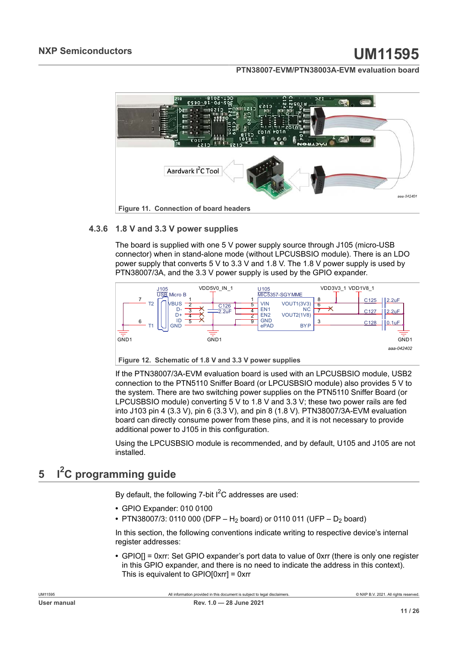<span id="page-10-0"></span>

#### **4.3.6 1.8 V and 3.3 V power supplies**

<span id="page-10-2"></span>The board is supplied with one 5 V power supply source through J105 (micro-USB connector) when in stand-alone mode (without LPCUSBSIO module). There is an LDO power supply that converts 5 V to 3.3 V and 1.8 V. The 1.8 V power supply is used by PTN38007/3A, and the 3.3 V power supply is used by the GPIO expander.

<span id="page-10-1"></span>

**Figure 12. Schematic of 1.8 V and 3.3 V power supplies**

If the PTN38007/3A-EVM evaluation board is used with an LPCUSBSIO module, USB2 connection to the PTN5110 Sniffer Board (or LPCUSBSIO module) also provides 5 V to the system. There are two switching power supplies on the PTN5110 Sniffer Board (or LPCUSBSIO module) converting 5 V to 1.8 V and 3.3 V; these two power rails are fed into J103 pin 4 (3.3 V), pin 6 (3.3 V), and pin 8 (1.8 V). PTN38007/3A-EVM evaluation board can directly consume power from these pins, and it is not necessary to provide additional power to J105 in this configuration.

Using the LPCUSBSIO module is recommended, and by default, U105 and J105 are not installed.

# <span id="page-10-3"></span>**5 I2C programming guide**

By default, the following 7-bit  $I^2C$  addresses are used:

- **•** GPIO Expander: 010 0100
- PTN38007/3: 0110 000 (DFP H<sub>2</sub> board) or 0110 011 (UFP D<sub>2</sub> board)

In this section, the following conventions indicate writing to respective device's internal register addresses:

**•** GPIO[] = 0xrr: Set GPIO expander's port data to value of 0xrr (there is only one register in this GPIO expander, and there is no need to indicate the address in this context). This is equivalent to GPIO[0xrr] = 0xrr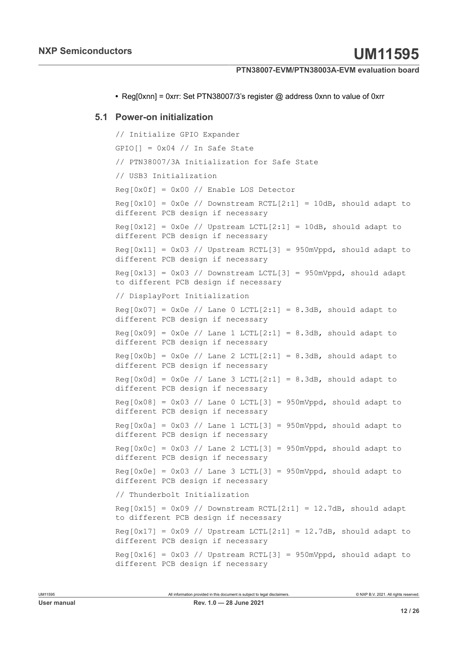<span id="page-11-0"></span>**•** Reg[0xnn] = 0xrr: Set PTN38007/3's register @ address 0xnn to value of 0xrr

#### **5.1 Power-on initialization**

```
// Initialize GPIO Expander
GPIO[ ] = 0x04 // In Safe State
// PTN38007/3A Initialization for Safe State
// USB3 Initialization
Reg[0x0f] = 0x00 // Enable LOS Detector
Reg[0x10] = 0x0e // Downstream RCTL[2:1] = 10dB, should adapt to
different PCB design if necessary
\text{Reg}[0x12] = 0x0e // Upstream LCTL[2:1] = 10dB, should adapt to
different PCB design if necessary
Reg[0x11] = 0x03 // Upstream RCTL[3] = 950mVppd, should adapt to
different PCB design if necessary
Reg[0x13] = 0x03 // Downstream LCTL[3] = 950mVppd, should adapt
to different PCB design if necessary
// DisplayPort Initialization
Reg[0x07] = 0x0e // Lane 0 LCTL[2:1] = 8.3dB, should adapt to
different PCB design if necessary
Reg[0x09] = 0x0e // Lane 1 LCTL[2:1] = 8.3dB, should adapt to
different PCB design if necessary
Reg[0x0b] = 0x0e // Lane 2 LCTL[2:1] = 8.3dB, should adapt to
different PCB design if necessary
Reg[0x0d] = 0x0e // Lane 3 LCTL[2:1] = 8.3dB, should adapt to
different PCB design if necessary
Reg[0x08] = 0x03 // Lane 0 LCTL[3] = 950mVppd, should adapt to
different PCB design if necessary
Reg[0x0a] = 0x03 // Lane 1 LCTL[3] = 950mVppd, should adapt to
different PCB design if necessary
Reg[0x0c] = 0x03 // Lane 2 LCTL[3] = 950mVppd, should adapt to
different PCB design if necessary
Reg[0x0e] = 0x03 // Lane 3 LCTL[3] = 950mVppd, should adapt to
different PCB design if necessary
// Thunderbolt Initialization
Reg[0x15] = 0x09 // Downstream RCTL[2:1] = 12.7dB, should adapt
to different PCB design if necessary
Reg[0x17] = 0x09 // Upstream LCTL[2:1] = 12.7dB, should adapt to
different PCB design if necessary
Reg[0x16] = 0x03 // Upstream RCTL[3] = 950mVppd, should adapt to
different PCB design if necessary
```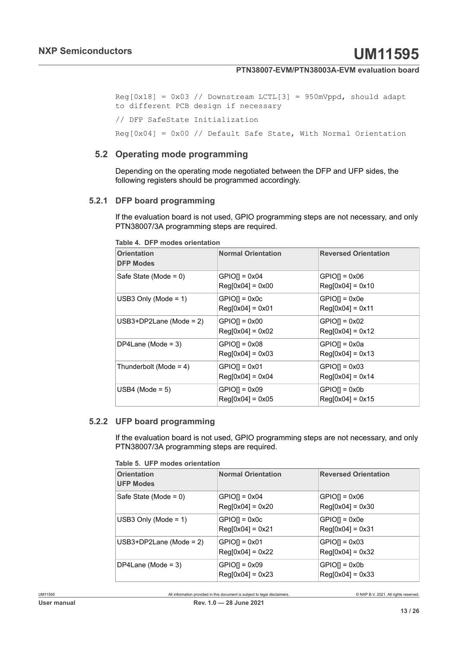```
Reg[0x18] = 0x03 // Downstream LCTL[3] = 950mVppd, should adapt
to different PCB design if necessary
// DFP SafeState Initialization
Reg[0x04] = 0x00 // Default Safe State, With Normal Orientation
```
#### **5.2 Operating mode programming**

<span id="page-12-2"></span>Depending on the operating mode negotiated between the DFP and UFP sides, the following registers should be programmed accordingly.

#### **5.2.1 DFP board programming**

<span id="page-12-3"></span>If the evaluation board is not used, GPIO programming steps are not necessary, and only PTN38007/3A programming steps are required.

| <b>Orientation</b><br><b>DFP Modes</b> | <b>Normal Orientation</b>                    | <b>Reversed Orientation</b>            |
|----------------------------------------|----------------------------------------------|----------------------------------------|
| Safe State (Mode = $0$ )               | $GPIO[] = 0x04$<br>$Reg[0x04] = 0x00$        | $GPIO[] = 0x06$<br>$Reg[0x04] = 0x10$  |
| USB3 Only (Mode = $1$ )                | $GPIO[] = 0x0c$<br>$Real[0x04] = 0x01$       | $GPIO[] = 0x0e$<br>$Reg[0x04] = 0x11$  |
| USB3+DP2Lane (Mode = $2$ )             | $GPIO[] = 0x00$<br>$\text{Req}[0x04] = 0x02$ | $GPIO[] = 0x02$<br>$Reg[0x04] = 0x12$  |
| DP4Lane (Mode = $3$ )                  | $GPIO[] = 0x08$<br>$Reg[0x04] = 0x03$        | $GPIO[] = 0x0a$<br>$Reg[0x04] = 0x13$  |
| Thunderbolt (Mode = $4$ )              | $GPIO[] = 0x01$<br>$\text{Req}[0x04] = 0x04$ | $GPIO[] = 0x03$<br>$Real[0x04] = 0x14$ |
| USB4 (Mode = $5$ )                     | $GPIO[] = 0x09$<br>$Reg[0x04] = 0x05$        | $GPIO[] = 0x0b$<br>$Reg[0x04] = 0x15$  |

<span id="page-12-0"></span>**Table 4. DFP modes orientation**

#### **5.2.2 UFP board programming**

<span id="page-12-4"></span>If the evaluation board is not used, GPIO programming steps are not necessary, and only PTN38007/3A programming steps are required.

<span id="page-12-1"></span>

|  |  |  | Table 5. UFP modes orientation |
|--|--|--|--------------------------------|
|--|--|--|--------------------------------|

| <b>Orientation</b><br><b>UFP Modes</b> | <b>Normal Orientation</b>             | <b>Reversed Orientation</b>           |
|----------------------------------------|---------------------------------------|---------------------------------------|
| Safe State (Mode = $0$ )               | $GPIO[] = 0x04$<br>$Reg[0x04] = 0x20$ | $GPIO[] = 0x06$<br>$Reg[0x04] = 0x30$ |
| USB3 Only (Mode = $1$ )                | $GPIO[] = 0x0c$<br>$Reg[0x04] = 0x21$ | $GPIO[] = 0x0e$<br>$Reg[0x04] = 0x31$ |
| $USB3+DP2Lane$ (Mode = 2)              | $GPIOII = 0x01$<br>$Reg[0x04] = 0x22$ | $GPIO[] = 0x03$<br>$Reg[0x04] = 0x32$ |
| DP4Lane (Mode = $3$ )                  | $GPIO[] = 0x09$<br>$Reg[0x04] = 0x23$ | $GPIO[] = 0x0b$<br>$Reg[0x04] = 0x33$ |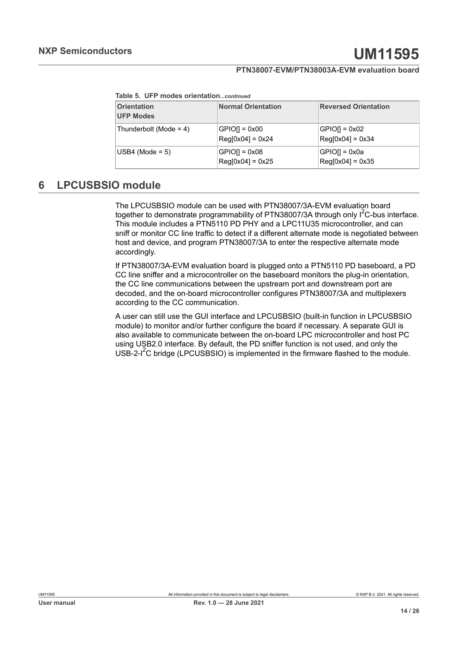|  |  | Table 5. UFP modes orientationcontinued |
|--|--|-----------------------------------------|
|  |  |                                         |

| <b>Orientation</b><br><b>UFP Modes</b> | <b>Normal Orientation</b>             | <b>Reversed Orientation</b>           |
|----------------------------------------|---------------------------------------|---------------------------------------|
| Thunderbolt (Mode = $4$ )              | $GPIO[] = 0x00$<br>$Reg[0x04] = 0x24$ | $GPIO[] = 0x02$<br>$Reg[0x04] = 0x34$ |
| $USB4$ (Mode = 5)                      | $GPIO[] = 0x08$<br>$Reg[0x04] = 0x25$ | $GPIO[] = 0x0a$<br>$Reg[0x04] = 0x35$ |

# <span id="page-13-0"></span>**6 LPCUSBSIO module**

The LPCUSBSIO module can be used with PTN38007/3A-EVM evaluation board together to demonstrate programmability of PTN38007/3A through only  $1^2C$ -bus interface. This module includes a PTN5110 PD PHY and a LPC11U35 microcontroller, and can sniff or monitor CC line traffic to detect if a different alternate mode is negotiated between host and device, and program PTN38007/3A to enter the respective alternate mode accordingly.

If PTN38007/3A-EVM evaluation board is plugged onto a PTN5110 PD baseboard, a PD CC line sniffer and a microcontroller on the baseboard monitors the plug-in orientation, the CC line communications between the upstream port and downstream port are decoded, and the on-board microcontroller configures PTN38007/3A and multiplexers according to the CC communication.

A user can still use the GUI interface and LPCUSBSIO (built-in function in LPCUSBSIO module) to monitor and/or further configure the board if necessary. A separate GUI is also available to communicate between the on-board LPC microcontroller and host PC using USB2.0 interface. By default, the PD sniffer function is not used, and only the USB-2-<sup>12</sup>C bridge (LPCUSBSIO) is implemented in the firmware flashed to the module.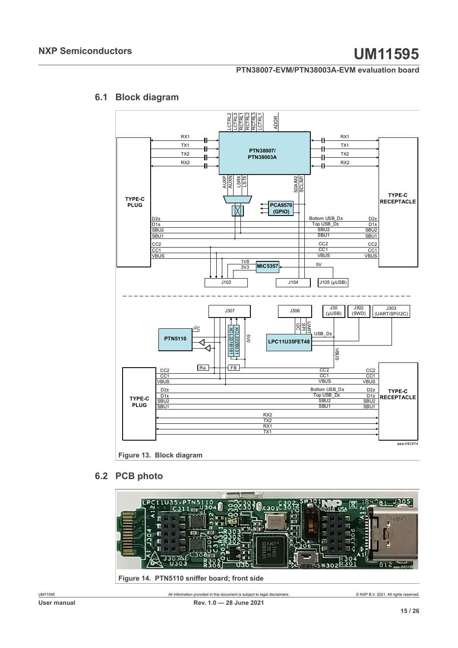# **6.1 Block diagram**

<span id="page-14-2"></span><span id="page-14-0"></span>

#### <span id="page-14-3"></span><span id="page-14-1"></span>**6.2 PCB photo**

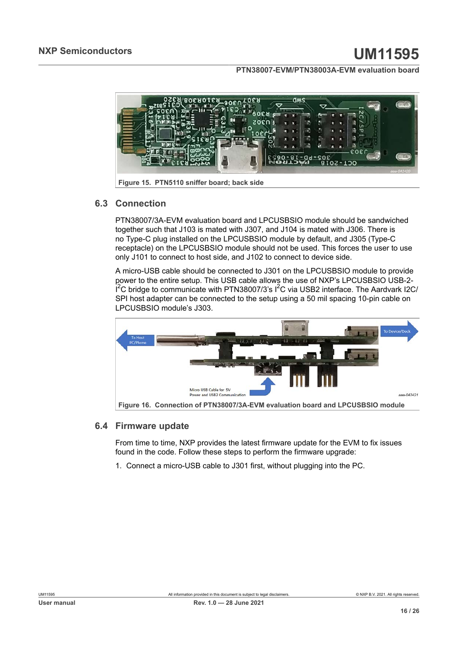<span id="page-15-0"></span>

<span id="page-15-2"></span>**Figure 15. PTN5110 sniffer board; back side**

#### **6.3 Connection**

PTN38007/3A-EVM evaluation board and LPCUSBSIO module should be sandwiched together such that J103 is mated with J307, and J104 is mated with J306. There is no Type-C plug installed on the LPCUSBSIO module by default, and J305 (Type-C receptacle) on the LPCUSBSIO module should not be used. This forces the user to use only J101 to connect to host side, and J102 to connect to device side.

A micro-USB cable should be connected to J301 on the LPCUSBSIO module to provide power to the entire setup. This USB cable allows the use of NXP's LPCUSBSIO USB-2-  $\overline{\mathsf{i}}^2\mathsf{C}$  bridge to communicate with PTN38007/3's I $^2\mathsf{C}$  via USB2 interface. The Aardvark I2C/ SPI host adapter can be connected to the setup using a 50 mil spacing 10-pin cable on LPCUSBSIO module's J303.

<span id="page-15-1"></span>

#### **6.4 Firmware update**

<span id="page-15-3"></span>From time to time, NXP provides the latest firmware update for the EVM to fix issues found in the code. Follow these steps to perform the firmware upgrade:

1. Connect a micro-USB cable to J301 first, without plugging into the PC.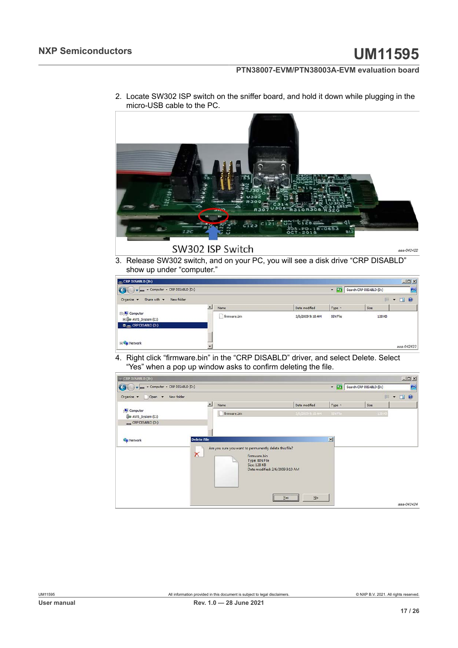

2. Locate SW302 ISP switch on the sniffer board, and hold it down while plugging in the micro-USB cable to the PC.

# 3. Release SW302 switch, and on your PC, you will see a disk drive "CRP DISABLD"

show up under "computer."  $CRP$  DISABLD (D:)  $-10x$ Computer - CRP DISABLD (D:) V Ch Search CRP DISABLD (D:)  $\bullet$ 

|                                                                        | $\blacktriangle$ | Name        | Date modified    | Type            | Size   |  |
|------------------------------------------------------------------------|------------------|-------------|------------------|-----------------|--------|--|
| E Computer<br>El Co AWS_System (C:)<br>$D \rightarrow CP$ DISABLD (D:) |                  | frmware.bin | 2/6/2009 9:10 AM | <b>BIN File</b> | 128 KB |  |
|                                                                        |                  |             |                  |                 |        |  |

4. Right click "firmware.bin" in the "CRP DISABLD" driver, and select Delete. Select "Yes" when a pop up window asks to confirm deleting the file.

| $-CRP$ DISABLD (0:)             |                    |                                                                        |                                 |                |                           | $-10x$                  |
|---------------------------------|--------------------|------------------------------------------------------------------------|---------------------------------|----------------|---------------------------|-------------------------|
| Computer - CRP DISABLD (D:)     |                    |                                                                        |                                 |                | V Charch CRP DISABLD (D:) | $\bullet$               |
| New folder<br>Organize v Open v |                    |                                                                        |                                 |                |                           | $\circ$<br><b>注 · 图</b> |
|                                 | $\blacktriangle$   | Name                                                                   | Date modified                   | Type +         | Size                      |                         |
| Computer<br>AWS_System (C:)     |                    | firmware.bin                                                           | 2/6/2009 9:10 AM                | <b>BIN Fie</b> | $123 \times$              |                         |
| CRP DISABLD (D:)                |                    |                                                                        |                                 |                |                           |                         |
| <b>EN</b> Network               | <b>Delete File</b> |                                                                        |                                 | ×              |                           |                         |
|                                 |                    |                                                                        |                                 |                |                           |                         |
|                                 | $\times$           | Are you sure you want to permanently delete this file?<br>firmware.bin |                                 |                |                           |                         |
|                                 |                    | Type: BIN File<br>Size: 128 KB                                         |                                 |                |                           |                         |
|                                 |                    |                                                                        | Date modified: 2/6/2009 9:10 AM |                |                           |                         |
|                                 |                    |                                                                        |                                 |                |                           |                         |
|                                 |                    |                                                                        |                                 |                |                           |                         |
|                                 |                    |                                                                        | N <sub>o</sub><br>Yes.          |                |                           |                         |
|                                 |                    |                                                                        |                                 |                |                           | aaa-042424              |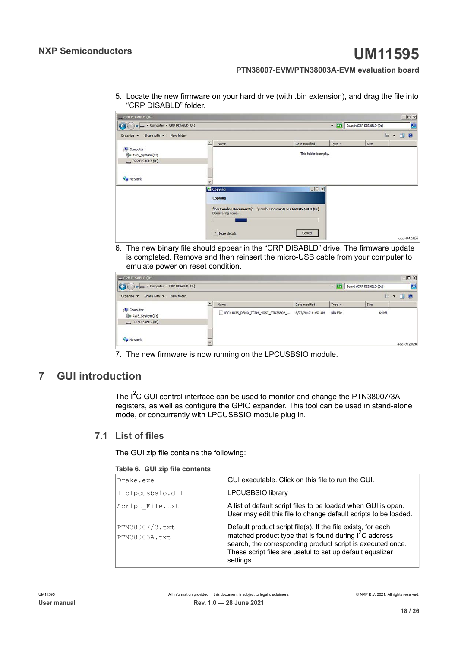5. Locate the new firmware on your hard drive (with .bin extension), and drag the file into "CRP DISABLD" folder.



6. The new binary file should appear in the "CRP DISABLD" drive. The firmware update is completed. Remove and then reinsert the micro-USB cable from your computer to emulate power on reset condition.

| Computer + CRP DISABLD (D:)           |                  |                                   |                    |                 | DISABLD (D:) | B    |
|---------------------------------------|------------------|-----------------------------------|--------------------|-----------------|--------------|------|
| Share with v New folder<br>Organize v |                  |                                   |                    |                 | 胆            | $ 0$ |
|                                       | $\blacktriangle$ | Name                              | Date modified      | Type            | Size         |      |
| Computer<br>Cia AWS_System (C:)       |                  | LPC11U35_DEMO_TCPM_HOST_PTN36502_ | 6/27/2017 11:52 AM | <b>BIN File</b> | 64 KB        |      |
| CRP DISABLD (D:)                      |                  |                                   |                    |                 |              |      |
|                                       |                  |                                   |                    |                 |              |      |
| <b>EN</b> Network                     |                  |                                   |                    |                 |              |      |

7. The new firmware is now running on the LPCUSBSIO module.

# <span id="page-17-1"></span>**7 GUI introduction**

The I<sup>2</sup>C GUI control interface can be used to monitor and change the PTN38007/3A registers, as well as configure the GPIO expander. This tool can be used in stand-alone mode, or concurrently with LPCUSBSIO module plug in.

#### **7.1 List of files**

<span id="page-17-2"></span>The GUI zip file contains the following:

<span id="page-17-0"></span>

|  |  |  | Table 6. GUI zip file contents |
|--|--|--|--------------------------------|
|--|--|--|--------------------------------|

| Drake.exe                       | GUI executable. Click on this file to run the GUI.                                                                                                                                                                                                                         |
|---------------------------------|----------------------------------------------------------------------------------------------------------------------------------------------------------------------------------------------------------------------------------------------------------------------------|
| liblpcusbsio.dll                | <b>LPCUSBSIO library</b>                                                                                                                                                                                                                                                   |
| Script File.txt                 | A list of default script files to be loaded when GUI is open.<br>User may edit this file to change default scripts to be loaded.                                                                                                                                           |
| PTN38007/3.txt<br>PTN38003A.txt | Default product script file(s). If the file exists, for each<br>matched product type that is found during I <sup>2</sup> C address<br>search, the corresponding product script is executed once.<br>These script files are useful to set up default equalizer<br>settings. |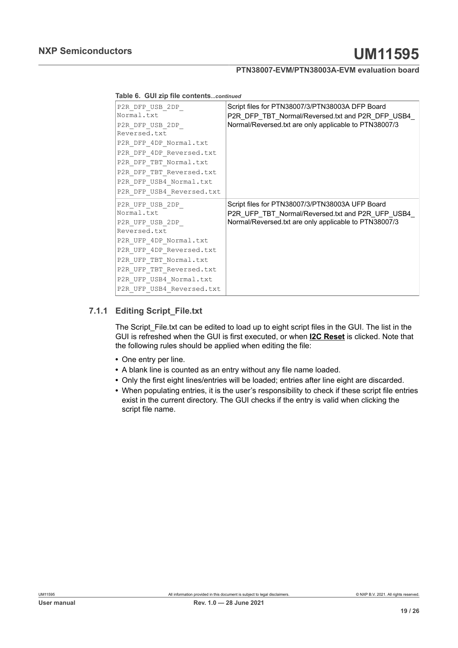| Table 6. GUI zip file contentscontinued |  |
|-----------------------------------------|--|
|-----------------------------------------|--|

| P2R DFP USB 2DP<br>Normal.txt<br>P2R DFP USB 2DP<br>Reversed.txt<br>P2R_DFP_4DP_Normal.txt<br>P2R_DFP_4DP Reversed.txt<br>P2R DFP TBT Normal.txt<br>P2R DFP TBT Reversed.txt<br>P2R_DFP_USB4_Normal.txt<br>P2R DFP USB4 Reversed.txt | Script files for PTN38007/3/PTN38003A DFP Board<br>P2R DFP TBT Normal/Reversed.txt and P2R DFP USB4<br>Normal/Reversed.txt are only applicable to PTN38007/3 |
|--------------------------------------------------------------------------------------------------------------------------------------------------------------------------------------------------------------------------------------|--------------------------------------------------------------------------------------------------------------------------------------------------------------|
| P2R UFP USB 2DP<br>Normal.txt<br>P2R UFP USB 2DP<br>Reversed.txt<br>P2R UFP 4DP Normal.txt<br>P2R UFP 4DP Reversed.txt<br>P2R_UFP_TBT_Normal.txt<br>P2R UFP TBT Reversed.txt<br>P2R_UFP_USB4_Normal.txt<br>P2R UFP USB4 Reversed.txt | Script files for PTN38007/3/PTN38003A UFP Board<br>P2R UFP TBT Normal/Reversed.txt and P2R UFP USB4<br>Normal/Reversed.txt are only applicable to PTN38007/3 |

#### **7.1.1 Editing Script\_File.txt**

<span id="page-18-0"></span>The Script\_File.txt can be edited to load up to eight script files in the GUI. The list in the GUI is refreshed when the GUI is first executed, or when **I2C Reset** is clicked. Note that the following rules should be applied when editing the file:

- **•** One entry per line.
- **•** A blank line is counted as an entry without any file name loaded.
- **•** Only the first eight lines/entries will be loaded; entries after line eight are discarded.
- **•** When populating entries, it is the user's responsibility to check if these script file entries exist in the current directory. The GUI checks if the entry is valid when clicking the script file name.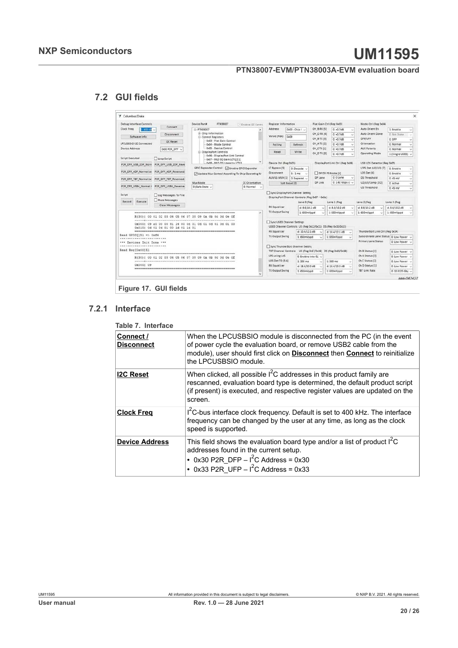# **NXP Semiconductors UM11595**

### **PTN38007-EVM/PTN38003A-EVM evaluation board**

# **7.2 GUI fields**

<span id="page-19-2"></span><span id="page-19-1"></span>

| Debug Interface Controls                                | Device Part#<br><b>PTN38007</b>                               | Ci Enable 12C Contro | Register Information                                                               |                         | Flat Gain Ctrl (Reg 0x03) |                                           | Mode Ctrl (Reg Ox04)                    |                  |
|---------------------------------------------------------|---------------------------------------------------------------|----------------------|------------------------------------------------------------------------------------|-------------------------|---------------------------|-------------------------------------------|-----------------------------------------|------------------|
| Connect<br>Clock Freq.<br>$1.400 \, \text{K}$           | E-PTN38007                                                    |                      | Address                                                                            | $0x00 - 0$ hip I $\sim$ | CH 8 RX [5]               | $0. + 0.7$ dB<br>ŵ                        | Auto Orient En                          | 1: Enable        |
| <b>Disconnect</b><br>Software Info                      | (ii) Chip Information                                         |                      | Value (Hex)<br>0x09                                                                |                         | CH_D RX [4]               | 0.40768<br>ä,                             | <b>Auto Orient Done</b>                 | 0: Not Done      |
| <b>I2C Reset</b>                                        | <b>Control Registers</b><br>0x03 - Flat Gain Control          |                      |                                                                                    |                         | CH_B TX [3]               | $0: +0.7dB$<br>$\sim$                     | DFP/UFP                                 | O: DFP           |
| LPCUSBSID 12C Connected                                 | 0x04 - Mode Control                                           |                      | Polling                                                                            | Refresh                 | CH_A TX [2]               | 0.40.768                                  | Orientation                             | 0: Normal        |
| Device Address<br>0x30 P2R DFP U                        | - 0x05 - Device Control<br>El-DisplayPort Controls            |                      | Read                                                                               | Write                   | CH CTX (1)                | 0.407dB<br>ü                              | <b>AUX Polarity</b>                     | 0: Normal        |
| Script Executed                                         | OxO6 - DisplayPort Link Control                               |                      |                                                                                    |                         | CH D TX (0)               | $0: +0.7dB$                               | Operating Mode                          | 1 (Single USB3)  |
| Loop Script                                             | 0x07 - MLO EQ Gain LCTLI2:11<br>Ov08 - MID OS Linearity (CTLR |                      | Device Ctrl (Reg 0x05)                                                             |                         |                           | DisplayPort Link Ctrl (Reg 0x06)          | USB LOS Detector (Reg DxOf)             |                  |
| P2R DFP USB 2DP Reve<br>P2R_DFP_USB_2DP_Norn            | GPIO Expander Control   C Enable GPIO Expander                |                      | LT Bypass [5]                                                                      | 0: Decode               |                           |                                           | LFPS Det (U2/U3) [7]                    | 0: Enable        |
| P2R DFP_4DP_Normal.tx<br>P2R DFP 4DP Reversed.          | Update Mux Control According To Chip Operating M              |                      | <b>Disconnect</b>                                                                  | 5:1ms<br>- 6            | DP D3 PS Mode (4)         |                                           | LOS Det (6)                             | 0: Enable        |
| P2R_DFP_TBT_Normal.tx<br>P2R DFP TBT Reversed.          |                                                               |                      | AUX/LS MUX [1] 0: Separat v                                                        |                         | DP Lane                   | 0:0 Lane                                  | DS Threshold                            | $0.45$ mV        |
|                                                         | Mux Mode                                                      | CC Orientation       | Soft Reset [0]                                                                     |                         | DP Link                   | $0.1.62$ Gbps $II \sim$                   | U2/U3/Comp (3:2)                        | 0: Active        |
| P2R DFP USB4 Normal.t<br>P2R DFP USB4 Reverser          | O (Safe State ~                                               | 0: Normal v          |                                                                                    |                         |                           |                                           | <b>US Threshold</b>                     | $0:45$ mV        |
| Clear Messages                                          |                                                               |                      | RX Equalizer<br>TX Output Swing                                                    | $d: 8.6/10.2$ dB        |                           | $d: 8.6/10.2$ dB<br>$\sim$                | $d: 8.6/10.2$ dB<br>$\sim$              | $d: 8.6/10.2$ dB |
| R(30)   00 01 02 03 04 05 06 07 08 09 08 0b 0c 0d 0e 0f |                                                               |                      |                                                                                    | $1:650m$ Vood           |                           | 1:650mVppd                                | 1:650mVppd                              | 1:650mVppd       |
| 0x0001 09 a0 00 00 81 14 00 0d 01 0d 01 0d 01 0d 01 00  |                                                               |                      | Sync USB3 Channel Settings                                                         |                         |                           |                                           |                                         |                  |
| 0x010; 0d 01 0d 01 00 1d 01 1d 01                       |                                                               |                      | USB3 Channel Controls US (Reg 0x12/0x11) DS (Reg 0x10/0x13)<br><b>RX Equalizer</b> | $d: 10.4/12.1$ dB       |                           |                                           | ThunderBolt Link Ctrl (Reg 0x14)        |                  |
| Read GPIO(1X1 => Oxf4                                   |                                                               |                      | TX Output Swing                                                                    | 1:650mVood              |                           | $d: 10.4/12.1$ dB<br>$\sim$<br>1:650mVood | Subordinate Lane Status 0: Low Power    |                  |
| ********************                                    |                                                               |                      |                                                                                    |                         |                           | $\ddot{\phantom{1}}$                      | <b>Primary Lane Status</b>              | 0: Low Power     |
| *** Devices Init Done ***<br>                           |                                                               |                      | Sync ThunderBolt Channel Setting                                                   |                         |                           |                                           |                                         |                  |
| Read Reg[Ox00]X1                                        |                                                               |                      | TBT Channel Controls US (Reg 0x17/0x16) DS (Reg 0x15/0x18)                         |                         |                           |                                           | Ch B Status (4)                         | 0: Low Power     |
| R(30)   00 01 02 03 04 05 06 07 08 09 0a 0b 0c 0d 0e 0f |                                                               |                      | LPS using LoS                                                                      | 0: Enable into CL' ~    |                           |                                           | Ch A Status (3)                         | 0:10w Power      |
|                                                         |                                                               |                      | LOS Det TO [5:4]                                                                   | $1:300$ ms.             | $\sim$                    | $1:300$ ms.<br>w                          | Ch C Status [2]                         | 0: Low Power     |
|                                                         |                                                               |                      | <b>RX Equalizer</b>                                                                | $d$ : 18.4/20.0 dB      |                           | $d: 18.4/20.0$ dB<br>×.                   | Ch D Status [1]<br><b>TBT Link Rate</b> | 0: Low Power     |
| 0x0001 09                                               |                                                               |                      | <b>TX Output Swing</b>                                                             |                         |                           |                                           |                                         |                  |

<span id="page-19-3"></span>**Figure 17. GUI fields**

### **7.2.1 Interface**

<span id="page-19-0"></span>**Table 7. Interface**

| 1991 - 1111 - 1110 - 1110 - 1110 - 1110 - 1110 - 1110 - 1110 - 1110 - 1110 - 1110 - 1110 - 1110 - 11 |                                                                                                                                                                                                                                                                 |
|------------------------------------------------------------------------------------------------------|-----------------------------------------------------------------------------------------------------------------------------------------------------------------------------------------------------------------------------------------------------------------|
| Connect /<br><b>Disconnect</b>                                                                       | When the LPCUSBSIO module is disconnected from the PC (in the event<br>of power cycle the evaluation board, or remove USB2 cable from the<br>module), user should first click on <b>Disconnect</b> then <b>Connect</b> to reinitialize<br>the LPCUSBSIO module. |
| <b>I2C Reset</b>                                                                                     | When clicked, all possible $I^2C$ addresses in this product family are<br>rescanned, evaluation board type is determined, the default product script<br>(if present) is executed, and respective register values are updated on the<br>screen.                  |
| <b>Clock Freg</b>                                                                                    | I <sup>2</sup> C-bus interface clock frequency. Default is set to 400 kHz. The interface<br>frequency can be changed by the user at any time, as long as the clock<br>speed is supported.                                                                       |
| <b>Device Address</b>                                                                                | This field shows the evaluation board type and/or a list of product $I^2C$<br>addresses found in the current setup.<br>• 0x30 P2R DFP $ 1^2$ C Address = 0x30<br>• 0x33 P2R UFP $- I^2C$ Address = 0x33                                                         |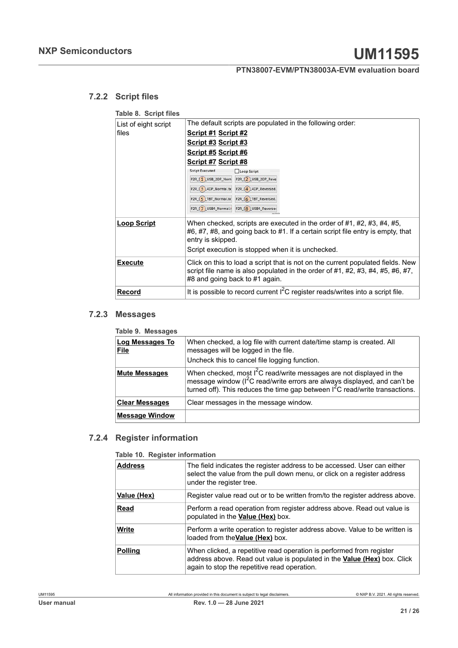#### **7.2.2 Script files**

<span id="page-20-3"></span><span id="page-20-0"></span>**Table 8. Script files** 

| List of eight script | The default scripts are populated in the following order:                                                                                                                                                                           |  |  |  |  |
|----------------------|-------------------------------------------------------------------------------------------------------------------------------------------------------------------------------------------------------------------------------------|--|--|--|--|
| files                | <u>Script #1 Script #2</u>                                                                                                                                                                                                          |  |  |  |  |
|                      | <u>Script #3 Script #3</u>                                                                                                                                                                                                          |  |  |  |  |
|                      | Script #5 Script #6                                                                                                                                                                                                                 |  |  |  |  |
|                      | Script #7 Script #8                                                                                                                                                                                                                 |  |  |  |  |
|                      | <b>Script Executed</b><br>Loop Script                                                                                                                                                                                               |  |  |  |  |
|                      | P2R 1 USB_2DP_Norn P2R 2 USB_2DP_Reve                                                                                                                                                                                               |  |  |  |  |
|                      | P2R 3 4DP Normal.tx P2R 4 4DP Reversed.                                                                                                                                                                                             |  |  |  |  |
|                      |                                                                                                                                                                                                                                     |  |  |  |  |
|                      | P2R 7 USB4_Normal.1 P2R 8 USB4_Reverser                                                                                                                                                                                             |  |  |  |  |
| <b>Loop Script</b>   | When checked, scripts are executed in the order of #1, #2, #3, #4, #5,<br>#6, #7, #8, and going back to #1. If a certain script file entry is empty, that<br>entry is skipped.<br>Script execution is stopped when it is unchecked. |  |  |  |  |
| <b>Execute</b>       | Click on this to load a script that is not on the current populated fields. New<br>script file name is also populated in the order of #1, #2, #3, #4, #5, #6, #7,<br>#8 and going back to #1 again.                                 |  |  |  |  |
| Record               | It is possible to record current $I^2C$ register reads/writes into a script file.                                                                                                                                                   |  |  |  |  |

#### **7.2.3 Messages**

<span id="page-20-4"></span><span id="page-20-1"></span>

| <u>. asiv of moodagoo</u>             |                                                                                                                                                                                                                                                   |
|---------------------------------------|---------------------------------------------------------------------------------------------------------------------------------------------------------------------------------------------------------------------------------------------------|
| <b>Log Messages To</b><br><b>File</b> | When checked, a log file with current date/time stamp is created. All<br>messages will be logged in the file.<br>Uncheck this to cancel file logging function.                                                                                    |
| <b>Mute Messages</b>                  | When checked, most $I^2C$ read/write messages are not displayed in the<br>message window (I <sup>2</sup> C read/write errors are always displayed, and can't be<br>turned off). This reduces the time gap between $1^2C$ read/write transactions. |
| <b>Clear Messages</b>                 | Clear messages in the message window.                                                                                                                                                                                                             |
| <b>Message Window</b>                 |                                                                                                                                                                                                                                                   |

#### **7.2.4 Register information**

<span id="page-20-5"></span><span id="page-20-2"></span>**Table 10. Register information**

| <b>Address</b> | The field indicates the register address to be accessed. User can either<br>select the value from the pull down menu, or click on a register address<br>under the register tree.                        |
|----------------|---------------------------------------------------------------------------------------------------------------------------------------------------------------------------------------------------------|
| Value (Hex)    | Register value read out or to be written from/to the register address above.                                                                                                                            |
| Read           | Perform a read operation from register address above. Read out value is<br>populated in the <b>Value (Hex)</b> box.                                                                                     |
| Write          | Perform a write operation to register address above. Value to be written is<br>loaded from the Value (Hex) box.                                                                                         |
| <b>Polling</b> | When clicked, a repetitive read operation is performed from register<br>address above. Read out value is populated in the <b>Value (Hex)</b> box. Click<br>again to stop the repetitive read operation. |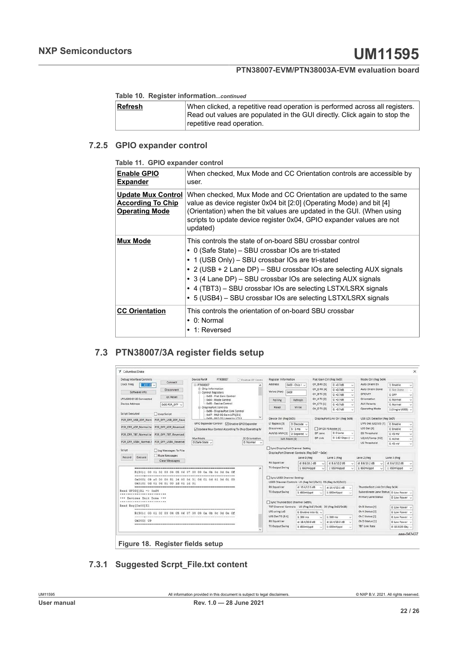#### **Table 10. Register information***...continued*

| Refresh | When clicked, a repetitive read operation is performed across all registers. |
|---------|------------------------------------------------------------------------------|
|         | Read out values are populated in the GUI directly. Click again to stop the   |
|         | repetitive read operation.                                                   |

#### **7.2.5 GPIO expander control**

<span id="page-21-2"></span><span id="page-21-0"></span>**Table 11. GPIO expander control**

| <b>Enable GPIO</b><br><b>Expander</b>                                          | When checked, Mux Mode and CC Orientation controls are accessible by<br>user.                                                                                                                                                                                                                                                                                                                                                              |
|--------------------------------------------------------------------------------|--------------------------------------------------------------------------------------------------------------------------------------------------------------------------------------------------------------------------------------------------------------------------------------------------------------------------------------------------------------------------------------------------------------------------------------------|
| <b>Update Mux Control</b><br><b>According To Chip</b><br><b>Operating Mode</b> | When checked, Mux Mode and CC Orientation are updated to the same<br>value as device register 0x04 bit [2:0] (Operating Mode) and bit [4]<br>(Orientation) when the bit values are updated in the GUI. (When using<br>scripts to update device register 0x04, GPIO expander values are not<br>updated)                                                                                                                                     |
| <b>Mux Mode</b>                                                                | This controls the state of on-board SBU crossbar control<br>• 0 (Safe State) – SBU crossbar IOs are tri-stated<br>• 1 (USB Only) – SBU crossbar IOs are tri-stated<br>• 2 (USB + 2 Lane DP) - SBU crossbar IOs are selecting AUX signals<br>• 3 (4 Lane DP) - SBU crossbar IOs are selecting AUX signals<br>• 4 (TBT3) - SBU crossbar IOs are selecting LSTX/LSRX signals<br>• 5 (USB4) - SBU crossbar IOs are selecting LSTX/LSRX signals |
| <b>CC Orientation</b>                                                          | This controls the orientation of on-board SBU crossbar<br>$\bullet$ 0: Normal<br>• 1: Reversed                                                                                                                                                                                                                                                                                                                                             |

# <span id="page-21-3"></span>**7.3 PTN38007/3A register fields setup**

<span id="page-21-1"></span>

| Debug Interface Controls          |                       | Device Partit<br><b>PTN38007</b>                                                                                  | Ci Enable 12C Contro | Register Information                                 |                         |                                                                              | Flat Gain Ctrl (Reg 0x03)                                  | Mode Ctrl (Reg Ox04)                    |                   |        |
|-----------------------------------|-----------------------|-------------------------------------------------------------------------------------------------------------------|----------------------|------------------------------------------------------|-------------------------|------------------------------------------------------------------------------|------------------------------------------------------------|-----------------------------------------|-------------------|--------|
| Clock Freq<br>$1:400$ kH          | Connect               | EI-PTN38007                                                                                                       |                      | Address                                              | $0x00 - 0$ hip I $\sim$ | CH BRX (S)                                                                   | $0. + 0.7$ dB                                              | Auto Orient En<br>$\sim$                | 1: Enable         | ×.     |
| Software Info                     | <b>Disconnect</b>     | (ii) Chip Information<br><b>E-Control Registers</b>                                                               |                      | Value (Hex)                                          | 0x09                    | CH D RX [4]                                                                  | $0: +0.7dB$                                                | Auto Orient Done<br>×                   | 0: Not Done       |        |
|                                   | <b>I2C Reset</b>      | 0x03 - Flat Gain Control                                                                                          |                      |                                                      |                         | CH 8 TX [3]                                                                  | $0: +0.7dB$                                                | DFP/UFP<br>$\sim$                       | $0:$ DFP          |        |
| LPCUSBSIO I2C Connected           |                       | 0x04 - Mode Control                                                                                               |                      | Polling                                              | Refresh                 | CH A TX (2)                                                                  | 0.40.768                                                   | Orientation                             | 0: Normal         | ×.     |
| Device Address                    | 0x30 P2R DFP U        | OxOS - Device Control<br>El-DisplayPort Controls                                                                  |                      | Read                                                 | Write                   | CH CTX (1)                                                                   | $0: +0.7dB$                                                | <b>AUX Polarity</b>                     | 0: Normal         | ×      |
| Script Executed                   | Loop Script           | OxO6 - DisplayPort Link Control                                                                                   |                      |                                                      |                         | CH D TX (0)                                                                  | $0: +0.7dB$                                                | Operating Mode                          | 1 (Single USB3)   |        |
|                                   |                       | 0x07 - MLO EQ Gain LCTL[2:1]<br>Ov08 - MID OS Linearity LCTLR                                                     |                      | Device Ctrl (Reg 0x05)                               |                         |                                                                              | DisplayPort Link Ctrl (Reg 0x06)                           | USB LOS Detector (Reg DxDf)             |                   |        |
| P2R_DFP_USB_2DP_Norm              | P2R DFP USB 2DP Reve  | GPIO Expander Control   Enable GPIO Expander                                                                      |                      | LT Bypass [5]                                        | 0: Decode               |                                                                              |                                                            | LFPS Det (U2/U3) [7]                    | 0: Enable         |        |
| P2R_DFP_4DP_Normal.tx             | P2R DFP 4DP Reversed. | Update Mux Control According To Chip Operating M                                                                  |                      | <b>Disconnect</b>                                    | 5:1ms<br>-34            |                                                                              | OP D3 PS Mode (4)                                          | LOS Det (6)                             | 0: Enable         | ×.     |
| P2R_DFP_TBT_Normal.tx             | P2R DFP TBT Reversed. |                                                                                                                   |                      | AUX/LS MUX [1]                                       | 0: Separat              | DP Lane                                                                      | 0:0 Lane                                                   | D5 Threshold                            | $0:45$ mV         | $\sim$ |
|                                   |                       | Mux Mode                                                                                                          | CC Orientation       |                                                      | Soft Reset [0]          | DP Link                                                                      | $0.162$ Gbps $II \cup$                                     | U2/U3/Comp (3:2)                        | 0: Active         | w      |
| P2R DFP USB4 Normal.t             | P2R DFP USB4 Reverse  | O (Safe State v                                                                                                   | 0: Normal v          |                                                      |                         |                                                                              |                                                            | <b>US Threshold</b>                     | $0.45 \text{ mV}$ | ×      |
| 0x010; 0d 01 0d 01 00 1d 01 1d 01 |                       | R(30)   00 01 02 03 04 05 06 07 08 09 08 0b 0c 0d 0e 0f<br>0x0001 09 a0 00 00 81 14 00 0d 01 0d 01 0d 01 0d 01 00 |                      | <b>TX Output Swing</b><br>Sync USB3 Channel Settings |                         | $1:650m$ Vopd<br>USB3 Channel Controls US (Reg 0x12/0x11) DS (Reg 0x10/0x13) | $1:650m$ Vood                                              | 1:650mVppd<br>×                         | 1:650mVppd        |        |
|                                   |                       |                                                                                                                   |                      | <b>RX Equalizer</b>                                  |                         | $d$ : 10.4/12.1 $d$ 8                                                        | $d: 10.4/12.1$ dB                                          | ThunderBolt Link Ctrl (Reg 0x14)        |                   |        |
| Read GPIO(1X1 => Oxf4<br>         |                       |                                                                                                                   |                      | TX Output Swing                                      | 1:650mVood              |                                                                              | 1:650mVood                                                 | Subordinate Lane Status 0: Low Power    |                   |        |
| *** Devices Init Done ***         |                       |                                                                                                                   |                      |                                                      |                         |                                                                              |                                                            | <b>Primary Lane Status</b>              | 0: Low Power      |        |
|                                   |                       |                                                                                                                   |                      | Sync ThunderBolt Channel Setting                     |                         |                                                                              |                                                            |                                         |                   |        |
| Read Reg[Ox00]X1                  |                       |                                                                                                                   |                      |                                                      |                         |                                                                              | TBT Channel Controls US (Reg 0x17/0x16) DS (Reg 0x15/0x18) | Ch B Status (4)                         | O'Low Power       |        |
|                                   |                       | R(30)   00 01 02 03 04 05 06 07 08 09 0a 0b 0c 0d 0e 0f                                                           |                      | LPS using LoS                                        |                         | 0: Enable into CL' ~                                                         |                                                            | Ch A Status (3)                         | 0: Low Power      |        |
| 0x0001 09                         |                       |                                                                                                                   |                      | LOS Det TO [5:4]                                     | $1:300$ ms.             |                                                                              | $1:300$ ms.                                                | Ch C Status [2]                         | 0: Low Power      |        |
|                                   |                       |                                                                                                                   |                      | <b>RX Equalizer</b><br><b>TX Output Swing</b>        |                         | $d$ : 18.4/20.0 dB                                                           | $d: 18.4/20.0$ dB                                          | Ch D Status [1]<br><b>TBT Link Rate</b> | 0: Low Power      |        |
|                                   |                       |                                                                                                                   |                      |                                                      | 1:650mVppd              |                                                                              | 1:650mVppd                                                 |                                         | 0:10.3125 Gbc ~   |        |
|                                   |                       |                                                                                                                   |                      |                                                      |                         |                                                                              |                                                            |                                         |                   |        |

# <span id="page-21-4"></span>**7.3.1 Suggested Scrpt\_File.txt content**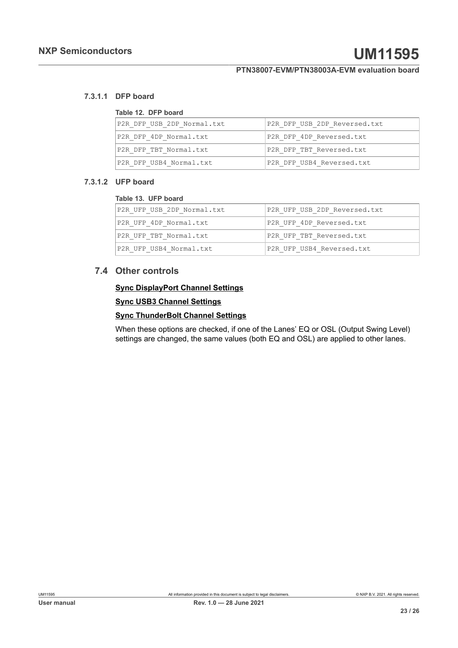#### **7.3.1.1 DFP board**

#### <span id="page-22-2"></span><span id="page-22-0"></span>**Table 12. DFP board**

| P2R DFP USB 2DP Normal.txt | P2R DFP USB 2DP Reversed.txt |
|----------------------------|------------------------------|
| P2R DFP 4DP Normal.txt     | P2R DFP 4DP Reversed.txt     |
| P2R DFP TBT Normal.txt     | P2R DFP TBT Reversed.txt     |
| P2R DFP USB4 Normal.txt    | P2R DFP USB4 Reversed.txt    |

#### **7.3.1.2 UFP board**

#### <span id="page-22-3"></span><span id="page-22-1"></span>**Table 13. UFP board**

| P2R UFP USB 2DP Normal.txt | P2R UFP USB 2DP Reversed.txt |
|----------------------------|------------------------------|
| P2R UFP 4DP Normal.txt     | P2R UFP 4DP Reversed.txt     |
| P2R UFP TBT Normal.txt     | P2R UFP TBT Reversed.txt     |
| P2R UFP USB4 Normal.txt    | P2R UFP USB4 Reversed.txt    |

#### **7.4 Other controls**

#### <span id="page-22-4"></span>**Sync DisplayPort Channel Settings**

#### **Sync USB3 Channel Settings**

#### **Sync ThunderBolt Channel Settings**

When these options are checked, if one of the Lanes' EQ or OSL (Output Swing Level) settings are changed, the same values (both EQ and OSL) are applied to other lanes.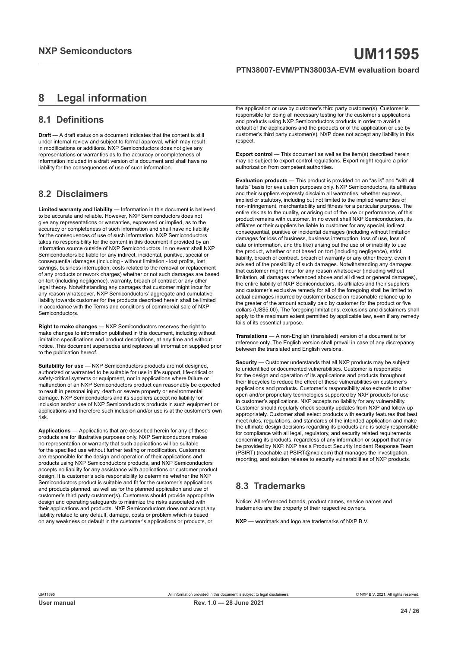# <span id="page-23-0"></span>**8 Legal information**

### **8.1 Definitions**

**Draft** — A draft status on a document indicates that the content is still under internal review and subject to formal approval, which may result in modifications or additions. NXP Semiconductors does not give any representations or warranties as to the accuracy or completeness of information included in a draft version of a document and shall have no liability for the consequences of use of such information.

#### **8.2 Disclaimers**

**Limited warranty and liability** — Information in this document is believed to be accurate and reliable. However, NXP Semiconductors does not give any representations or warranties, expressed or implied, as to the accuracy or completeness of such information and shall have no liability for the consequences of use of such information. NXP Semiconductors takes no responsibility for the content in this document if provided by an information source outside of NXP Semiconductors. In no event shall NXP Semiconductors be liable for any indirect, incidental, punitive, special or consequential damages (including - without limitation - lost profits, lost savings, business interruption, costs related to the removal or replacement of any products or rework charges) whether or not such damages are based on tort (including negligence), warranty, breach of contract or any other legal theory. Notwithstanding any damages that customer might incur for any reason whatsoever, NXP Semiconductors' aggregate and cumulative liability towards customer for the products described herein shall be limited in accordance with the Terms and conditions of commercial sale of NXP Semiconductors.

**Right to make changes** — NXP Semiconductors reserves the right to make changes to information published in this document, including without limitation specifications and product descriptions, at any time and without notice. This document supersedes and replaces all information supplied prior to the publication hereof.

**Suitability for use** — NXP Semiconductors products are not designed, authorized or warranted to be suitable for use in life support, life-critical or safety-critical systems or equipment, nor in applications where failure or malfunction of an NXP Semiconductors product can reasonably be expected to result in personal injury, death or severe property or environmental damage. NXP Semiconductors and its suppliers accept no liability for inclusion and/or use of NXP Semiconductors products in such equipment or applications and therefore such inclusion and/or use is at the customer's own risk.

**Applications** — Applications that are described herein for any of these products are for illustrative purposes only. NXP Semiconductors makes no representation or warranty that such applications will be suitable for the specified use without further testing or modification. Customers are responsible for the design and operation of their applications and products using NXP Semiconductors products, and NXP Semiconductors accepts no liability for any assistance with applications or customer product design. It is customer's sole responsibility to determine whether the NXP Semiconductors product is suitable and fit for the customer's applications and products planned, as well as for the planned application and use of customer's third party customer(s). Customers should provide appropriate design and operating safeguards to minimize the risks associated with their applications and products. NXP Semiconductors does not accept any liability related to any default, damage, costs or problem which is based on any weakness or default in the customer's applications or products, or

the application or use by customer's third party customer(s). Customer is responsible for doing all necessary testing for the customer's applications and products using NXP Semiconductors products in order to avoid a default of the applications and the products or of the application or use by customer's third party customer(s). NXP does not accept any liability in this respect.

**Export control** — This document as well as the item(s) described herein may be subject to export control regulations. Export might require a prior authorization from competent authorities.

**Evaluation products** — This product is provided on an "as is" and "with all faults" basis for evaluation purposes only. NXP Semiconductors, its affiliates and their suppliers expressly disclaim all warranties, whether express, implied or statutory, including but not limited to the implied warranties of non-infringement, merchantability and fitness for a particular purpose. The entire risk as to the quality, or arising out of the use or performance, of this product remains with customer. In no event shall NXP Semiconductors, its affiliates or their suppliers be liable to customer for any special, indirect, consequential, punitive or incidental damages (including without limitation damages for loss of business, business interruption, loss of use, loss of data or information, and the like) arising out the use of or inability to use the product, whether or not based on tort (including negligence), strict liability, breach of contract, breach of warranty or any other theory, even if advised of the possibility of such damages. Notwithstanding any damages that customer might incur for any reason whatsoever (including without limitation, all damages referenced above and all direct or general damages), the entire liability of NXP Semiconductors, its affiliates and their suppliers and customer's exclusive remedy for all of the foregoing shall be limited to actual damages incurred by customer based on reasonable reliance up to the greater of the amount actually paid by customer for the product or five dollars (US\$5.00). The foregoing limitations, exclusions and disclaimers shall apply to the maximum extent permitted by applicable law, even if any remedy fails of its essential purpose.

**Translations** — A non-English (translated) version of a document is for reference only. The English version shall prevail in case of any discrepancy between the translated and English versions.

**Security** — Customer understands that all NXP products may be subject to unidentified or documented vulnerabilities. Customer is responsible for the design and operation of its applications and products throughout their lifecycles to reduce the effect of these vulnerabilities on customer's applications and products. Customer's responsibility also extends to other open and/or proprietary technologies supported by NXP products for use in customer's applications. NXP accepts no liability for any vulnerability. Customer should regularly check security updates from NXP and follow up appropriately. Customer shall select products with security features that best meet rules, regulations, and standards of the intended application and make the ultimate design decisions regarding its products and is solely responsible for compliance with all legal, regulatory, and security related requirements concerning its products, regardless of any information or support that may be provided by NXP. NXP has a Product Security Incident Response Team (PSIRT) (reachable at PSIRT@nxp.com) that manages the investigation, reporting, and solution release to security vulnerabilities of NXP products.

# **8.3 Trademarks**

Notice: All referenced brands, product names, service names and trademarks are the property of their respective owners.

**NXP** — wordmark and logo are trademarks of NXP B.V.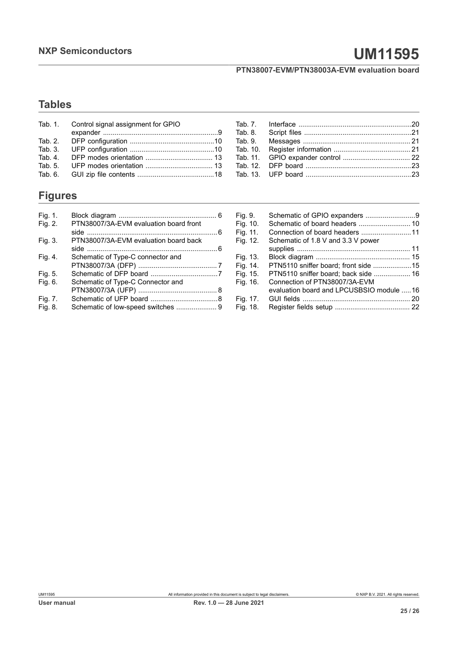# **NXP Semiconductors UM11595**

### **PTN38007-EVM/PTN38003A-EVM evaluation board**

# **Tables**

| Tab. 1. Control signal assignment for GPIO |  |
|--------------------------------------------|--|
|                                            |  |
|                                            |  |
|                                            |  |
|                                            |  |
|                                            |  |
|                                            |  |

# **Figures**

| PTN38007/3A-EVM evaluation board front |                                    |
|----------------------------------------|------------------------------------|
|                                        |                                    |
| PTN38007/3A-EVM evaluation board back  |                                    |
|                                        |                                    |
| Schematic of Type-C connector and      |                                    |
|                                        |                                    |
|                                        |                                    |
| Schematic of Type-C Connector and      |                                    |
|                                        |                                    |
|                                        |                                    |
|                                        |                                    |
|                                        | Schematic of low-speed switches  9 |

| Fig. 9.  |                                          |  |
|----------|------------------------------------------|--|
| Fig. 10. |                                          |  |
| Fig. 11. |                                          |  |
| Fig. 12. | Schematic of 1.8 V and 3.3 V power       |  |
|          |                                          |  |
| Fig. 13. |                                          |  |
| Fig. 14. |                                          |  |
| Fig. 15. |                                          |  |
| Fig. 16. | Connection of PTN38007/3A-EVM            |  |
|          | evaluation board and LPCUSBSIO module 16 |  |
| Fig. 17. |                                          |  |
| Fig. 18. |                                          |  |
|          |                                          |  |